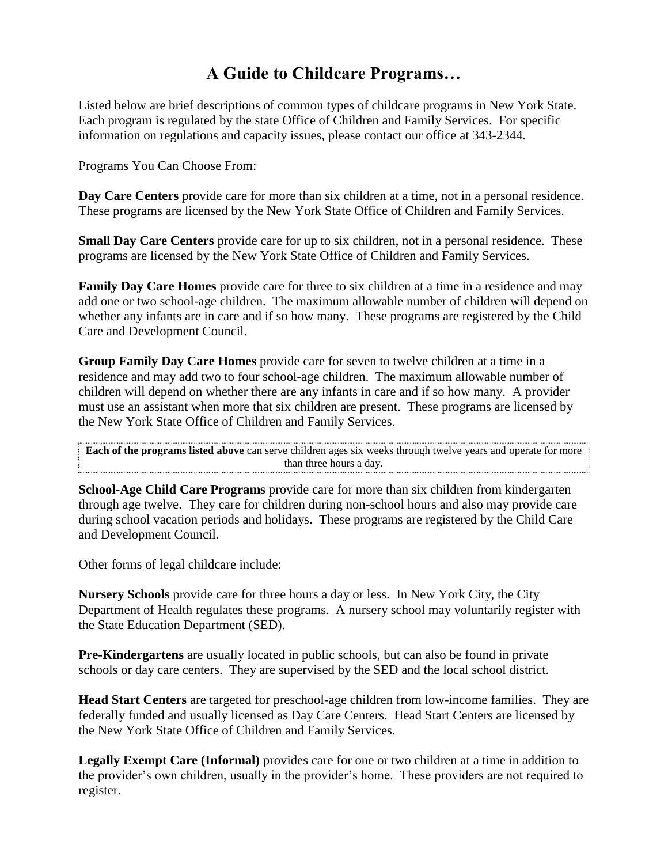## **A Guide to Childcare Programs…**

Listed below are brief descriptions of common types of childcare programs in New York State. Each program is regulated by the state Office of Children and Family Services. For specific information on regulations and capacity issues, please contact our office at 343-2344.

Programs You Can Choose From:

**Day Care Centers** provide care for more than six children at a time, not in a personal residence. These programs are licensed by the New York State Office of Children and Family Services.

**Small Day Care Centers** provide care for up to six children, not in a personal residence. These programs are licensed by the New York State Office of Children and Family Services.

**Family Day Care Homes** provide care for three to six children at a time in a residence and may add one or two school-age children. The maximum allowable number of children will depend on whether any infants are in care and if so how many. These programs are registered by the Child Care and Development Council.

**Group Family Day Care Homes** provide care for seven to twelve children at a time in a residence and may add two to four school-age children. The maximum allowable number of children will depend on whether there are any infants in care and if so how many. A provider must use an assistant when more that six children are present. These programs are licensed by the New York State Office of Children and Family Services.

**Each of the programs listed above** can serve children ages six weeks through twelve years and operate for more than three hours a day.

**School-Age Child Care Programs** provide care for more than six children from kindergarten through age twelve. They care for children during non-school hours and also may provide care during school vacation periods and holidays. These programs are registered by the Child Care and Development Council.

Other forms of legal childcare include:

**Nursery Schools** provide care for three hours a day or less. In New York City, the City Department of Health regulates these programs. A nursery school may voluntarily register with the State Education Department (SED).

**Pre-Kindergartens** are usually located in public schools, but can also be found in private schools or day care centers. They are supervised by the SED and the local school district.

**Head Start Centers** are targeted for preschool-age children from low-income families. They are federally funded and usually licensed as Day Care Centers. Head Start Centers are licensed by the New York State Office of Children and Family Services.

**Legally Exempt Care (Informal)** provides care for one or two children at a time in addition to the provider's own children, usually in the provider's home. These providers are not required to register.